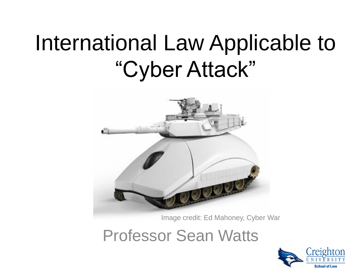## International Law Applicable to "Cyber Attack"



Image credit: Ed Mahoney, Cyber War

Professor Sean Watts

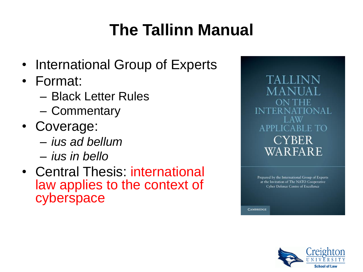## **The Tallinn Manual**

- International Group of Experts
- Format:
	- Black Letter Rules
	- Commentary
- Coverage:
	- *ius ad bellum*
	- *ius in bello*
- Central Thesis: international law applies to the context of cyberspace

TALLINN MANI INTER NATIONAL APPLICABLE TO **CYBER** WARFARE

Prepared by the International Group of Experts at the Invitation of The NATO Cooperative **Cyber Defence Centre of Excellence** 

**CAMBRIDGE** 

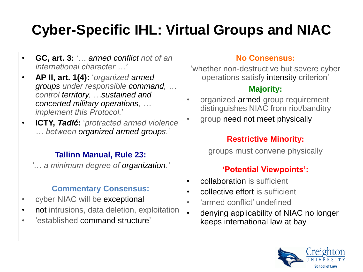### **Cyber-Specific IHL: Virtual Groups and NIAC**

- **GC, art. 3:** '… *armed conflict not of an international character …'*
- **AP II, art. 1(4):** '*organized armed groups under responsible command, … control territory, …sustained and concerted military operations, … implement this Protocol.*'
- **ICTY,** *Tadić***:** '*protracted armed violence … between organized armed groups.'*

#### **Tallinn Manual, Rule 23:**

*'… a minimum degree of organization.'*

#### **Commentary Consensus:**

- cyber NIAC will be exceptional
- not intrusions, data deletion, exploitation
- 'established command structure'

#### **No Consensus:**

'whether non-destructive but severe cyber operations satisfy intensity criterion'

#### **Majority:**

- organized armed group requirement distinguishes NIAC from riot/banditry
- group need not meet physically

#### **Restrictive Minority:**

groups must convene physically

#### **'Potential Viewpoints':**

- collaboration is sufficient
- collective effort is sufficient
- 'armed conflict' undefined
- denying applicability of NIAC no longer keeps international law at bay

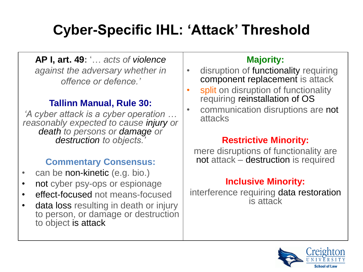### **Cyber-Specific IHL: 'Attack' Threshold**

**AP I, art. 49:** '… *acts of violence against the adversary whether in offence or defence.'*

#### **Tallinn Manual, Rule 30:**

*'A cyber attack is a cyber operation … reasonably expected to cause injury or death to persons or damage or destruction to objects.'*

#### **Commentary Consensus:**

- can be non-kinetic (e.g. bio.)
- not cyber psy-ops or espionage
- effect-focused not means-focused
- data loss resulting in death or injury to person, or damage or destruction to object is attack

#### **Majority:**

- disruption of functionality requiring component replacement is attack
- split on disruption of functionality requiring reinstallation of OS
- communication disruptions are not attacks

#### **Restrictive Minority:**

mere disruptions of functionality are not attack – destruction is required

#### **Inclusive Minority:**

interference requiring data restoration is attack

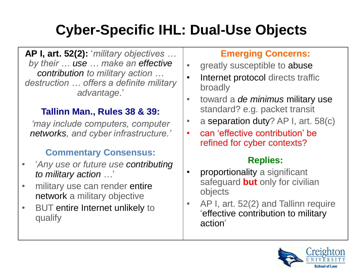### **Cyber-Specific IHL: Dual-Use Objects**

**AP I, art. 52(2):** '*military objectives … by their … use … make an effective contribution to military action … destruction … offers a definite military advantage*.'

#### **Tallinn Man., Rules 38 & 39:**

*'may include computers, computer networks, and cyber infrastructure.'*

#### **Commentary Consensus:**

- '*Any use or future use contributing to military action …*'
- military use can render entire network a military objective
- BUT entire Internet unlikely to qualify

#### **Emerging Concerns:**

- greatly susceptible to abuse
- Internet protocol directs traffic broadly
- toward a *de minimus* military use standard? e.g. packet transit
- a separation duty? AP I, art.  $58(c)$
- can 'effective contribution' be refined for cyber contexts?

#### **Replies:**

- proportionality a significant safeguard **but** only for civilian objects
- AP I, art. 52(2) and Tallinn require 'effective contribution to military action'

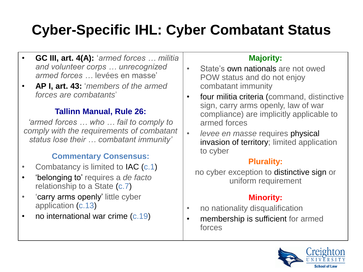### **Cyber-Specific IHL: Cyber Combatant Status**

- **GC III, art. 4(A):** '*armed forces … militia and volunteer corps … unrecognized armed forces …* levées en masse'
- **AP I, art. 43:** '*members of the armed forces are combatants*'

#### **Tallinn Manual, Rule 26:**

*'armed forces … who … fail to comply to comply with the requirements of combatant status lose their … combatant immunity'*

#### **Commentary Consensus:**

- Combatancy is limited to **IAC** (c.1)
- 'belonging to' requires a *de facto* relationship to a State (c.7)
- 'carry arms openly' little cyber application (c.13)
- no international war crime (c.19)

#### **Majority:**

- State's own nationals are not owed POW status and do not enjoy combatant immunity
- four militia criteria (command, distinctive sign, carry arms openly, law of war compliance) are implicitly applicable to armed forces
- *levee en masse* requires physical invasion of territory; limited application to cyber

#### **Plurality:**

no cyber exception to distinctive sign or uniform requirement

#### **Minority:**

- no nationality disqualification
- membership is sufficient for armed forces

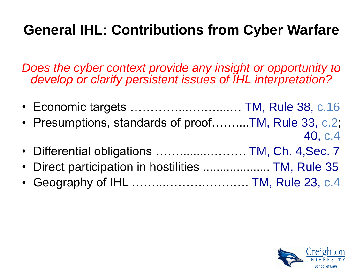### **General IHL: Contributions from Cyber Warfare**

*Does the cyber context provide any insight or opportunity to develop or clarify persistent issues of IHL interpretation?*

| • Economic targets  TM, Rule 38, c.16               |         |
|-----------------------------------------------------|---------|
| • Presumptions, standards of proofTM, Rule 33, c.2; |         |
|                                                     | 40, c.4 |
| • Differential obligations  TM, Ch. 4, Sec. 7       |         |
| • Direct participation in hostilities  TM, Rule 35  |         |
| • Geography of IHL  TM, Rule 23, c.4                |         |

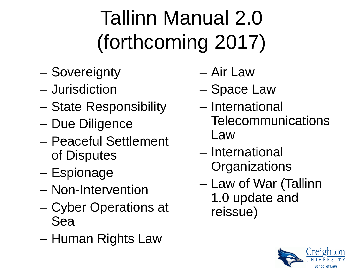# Tallinn Manual 2.0 (forthcoming 2017)

- Sovereignty
- Jurisdiction
- State Responsibility
- Due Diligence
- Peaceful Settlement of Disputes
- Espionage
- Non-Intervention
- Cyber Operations at Sea
- Human Rights Law
- Air Law
- Space Law
- International Telecommunications Law
- International **Organizations**
- Law of War (Tallinn 1.0 update and reissue)